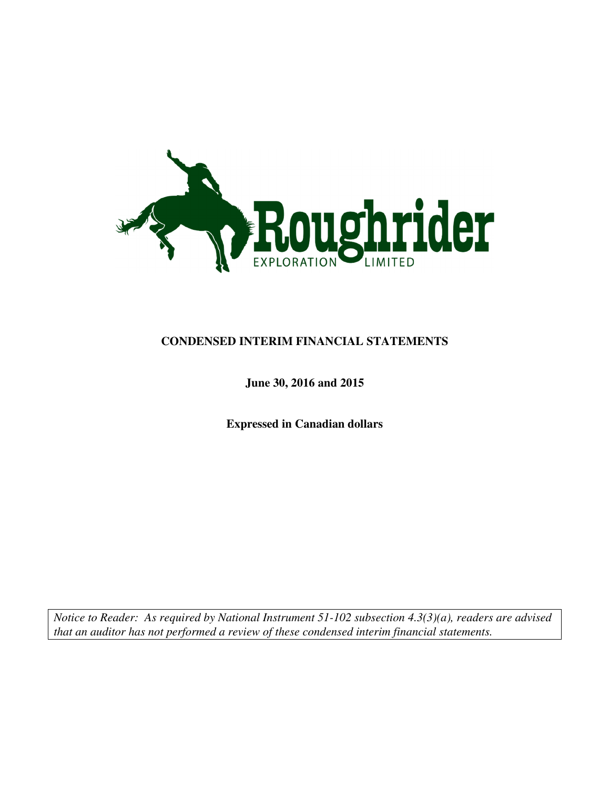

### **CONDENSED INTERIM FINANCIAL STATEMENTS**

### **June 30, 2016 and 2015**

**Expressed in Canadian dollars** 

*Notice to Reader: As required by National Instrument 51-102 subsection 4.3(3)(a), readers are advised that an auditor has not performed a review of these condensed interim financial statements.*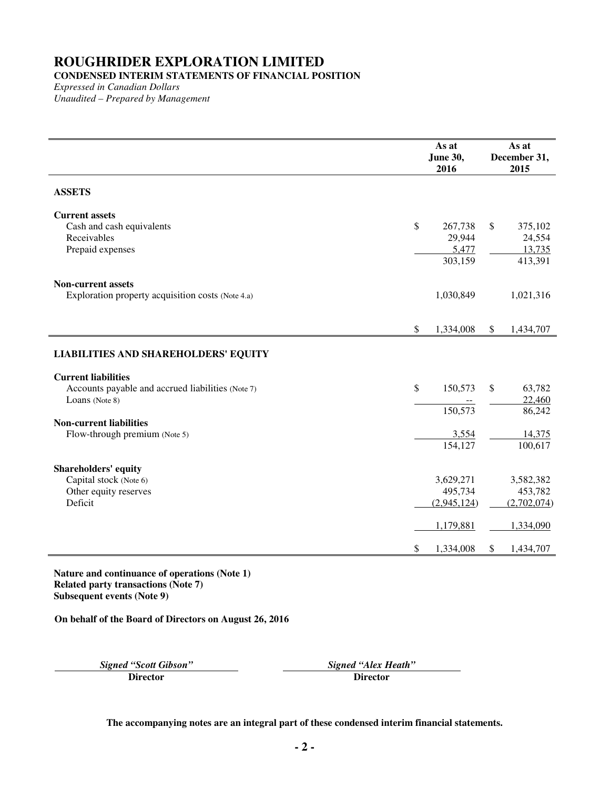## **CONDENSED INTERIM STATEMENTS OF FINANCIAL POSITION**

*Expressed in Canadian Dollars Unaudited – Prepared by Management* 

|                                                                                                   |                           | As at<br>June 30,<br>2016             | As at<br>December 31,<br>2015                |
|---------------------------------------------------------------------------------------------------|---------------------------|---------------------------------------|----------------------------------------------|
| <b>ASSETS</b>                                                                                     |                           |                                       |                                              |
| <b>Current assets</b><br>Cash and cash equivalents<br>Receivables<br>Prepaid expenses             | \$                        | 267,738<br>29,944<br>5,477<br>303,159 | \$<br>375,102<br>24,554<br>13,735<br>413,391 |
| <b>Non-current assets</b><br>Exploration property acquisition costs (Note 4.a)                    |                           | 1,030,849                             | 1,021,316                                    |
|                                                                                                   | $\boldsymbol{\mathsf{S}}$ | 1,334,008                             | \$<br>1,434,707                              |
| <b>LIABILITIES AND SHAREHOLDERS' EQUITY</b>                                                       |                           |                                       |                                              |
| <b>Current liabilities</b><br>Accounts payable and accrued liabilities (Note 7)<br>Loans (Note 8) | \$                        | 150,573<br>150,573                    | \$<br>63,782<br>22,460<br>86,242             |
| <b>Non-current liabilities</b><br>Flow-through premium (Note 5)                                   |                           | 3,554<br>154,127                      | 14,375<br>100,617                            |
| <b>Shareholders' equity</b><br>Capital stock (Note 6)<br>Other equity reserves<br>Deficit         |                           | 3,629,271<br>495,734<br>(2,945,124)   | 3,582,382<br>453,782<br>(2,702,074)          |
|                                                                                                   | \$                        | 1,179,881<br>1,334,008                | \$<br>1,334,090<br>1,434,707                 |

**Nature and continuance of operations (Note 1) Related party transactions (Note 7) Subsequent events (Note 9)** 

**On behalf of the Board of Directors on August 26, 2016** 

*Signed "Scott Gibson" Signed "Alex Heath"* 

**Director Director**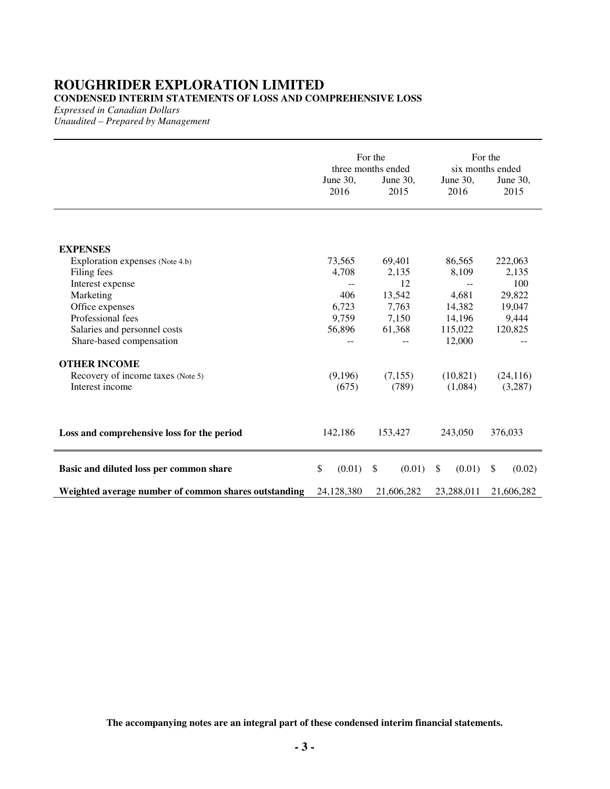### **ROUGHRIDER EXPLORATION LIMITED CONDENSED INTERIM STATEMENTS OF LOSS AND COMPREHENSIVE LOSS**

*Expressed in Canadian Dollars* 

*Unaudited – Prepared by Management* 

|                                                      | For the<br>three months ended |              |              | For the<br>six months ended |
|------------------------------------------------------|-------------------------------|--------------|--------------|-----------------------------|
|                                                      | June 30,                      | June $30$ ,  | June $30$ ,  | June 30,                    |
|                                                      | 2016                          | 2015         | 2016         | 2015                        |
|                                                      |                               |              |              |                             |
| <b>EXPENSES</b>                                      |                               |              |              |                             |
| Exploration expenses (Note 4.b)                      | 73,565                        | 69,401       | 86,565       | 222,063                     |
| Filing fees                                          | 4,708                         | 2,135        | 8,109        | 2,135                       |
| Interest expense                                     |                               | 12           | --           | 100                         |
| Marketing                                            | 406                           | 13,542       | 4,681        | 29,822                      |
| Office expenses                                      | 6,723                         | 7,763        | 14,382       | 19,047                      |
| Professional fees                                    | 9,759                         | 7,150        | 14,196       | 9,444                       |
| Salaries and personnel costs                         | 56,896                        | 61,368       | 115,022      | 120,825                     |
| Share-based compensation                             |                               |              | 12,000       |                             |
| <b>OTHER INCOME</b>                                  |                               |              |              |                             |
| Recovery of income taxes (Note 5)                    | (9,196)                       | (7,155)      | (10, 821)    | (24, 116)                   |
| Interest income                                      | (675)                         | (789)        | (1,084)      | (3,287)                     |
|                                                      |                               |              |              |                             |
| Loss and comprehensive loss for the period           | 142,186                       | 153,427      | 243,050      | 376,033                     |
| Basic and diluted loss per common share              | \$<br>(0.01)                  | \$<br>(0.01) | (0.01)<br>\$ | $\mathbb{S}$<br>(0.02)      |
| Weighted average number of common shares outstanding | 24,128,380                    | 21,606,282   | 23,288,011   | 21,606,282                  |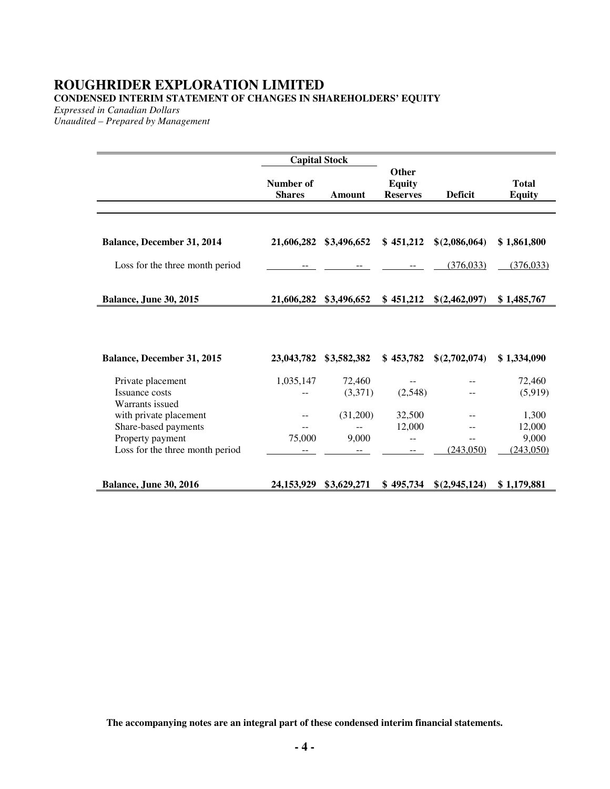## **ROUGHRIDER EXPLORATION LIMITED CONDENSED INTERIM STATEMENT OF CHANGES IN SHAREHOLDERS' EQUITY**

*Expressed in Canadian Dollars* 

*Unaudited – Prepared by Management* 

|                                                     |                            | <b>Capital Stock</b> |                                           |                |                               |
|-----------------------------------------------------|----------------------------|----------------------|-------------------------------------------|----------------|-------------------------------|
|                                                     | Number of<br><b>Shares</b> | <b>Amount</b>        | Other<br><b>Equity</b><br><b>Reserves</b> | <b>Deficit</b> | <b>Total</b><br><b>Equity</b> |
|                                                     |                            |                      |                                           |                |                               |
|                                                     |                            |                      |                                           |                |                               |
| Balance, December 31, 2014                          | 21,606,282                 | \$3,496,652          | \$451,212                                 | \$(2,086,064)  | \$1,861,800                   |
| Loss for the three month period                     |                            |                      |                                           | (376, 033)     | (376, 033)                    |
|                                                     |                            |                      |                                           |                |                               |
| <b>Balance, June 30, 2015</b>                       | 21,606,282                 | \$3,496,652          | \$451,212                                 | \$(2,462,097)  | \$1,485,767                   |
|                                                     |                            |                      |                                           |                |                               |
| <b>Balance, December 31, 2015</b>                   | 23,043,782                 | \$3,582,382          | \$453,782                                 | \$(2,702,074)  | \$1,334,090                   |
| Private placement                                   | 1,035,147                  | 72,460               | --                                        |                | 72,460                        |
| Issuance costs                                      |                            | (3,371)              | (2,548)                                   |                | (5,919)                       |
| Warrants issued                                     |                            |                      |                                           |                |                               |
| with private placement                              |                            | (31,200)             | 32,500                                    |                | 1,300                         |
| Share-based payments                                |                            |                      | 12,000                                    | --             | 12,000                        |
| Property payment<br>Loss for the three month period | 75,000                     | 9,000                | --                                        | (243,050)      | 9,000<br>(243,050)            |
|                                                     |                            |                      |                                           |                |                               |
| <b>Balance, June 30, 2016</b>                       | 24, 153, 929               | \$3,629,271          | \$495,734                                 | \$(2,945,124)  | \$1,179,881                   |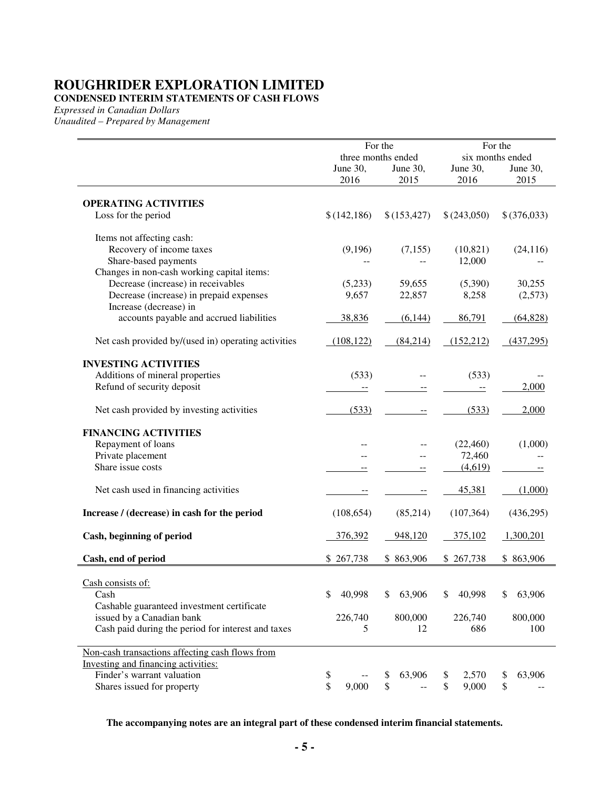**CONDENSED INTERIM STATEMENTS OF CASH FLOWS** 

*Expressed in Canadian Dollars* 

*Unaudited – Prepared by Management* 

|                                                     |                  | For the<br>three months ended |                  | For the          |
|-----------------------------------------------------|------------------|-------------------------------|------------------|------------------|
|                                                     |                  |                               |                  | six months ended |
|                                                     | June 30,<br>2016 | June 30,<br>2015              | June 30,<br>2016 | June 30,<br>2015 |
|                                                     |                  |                               |                  |                  |
| <b>OPERATING ACTIVITIES</b>                         |                  |                               |                  |                  |
| Loss for the period                                 | \$(142, 186)     | \$(153, 427)                  | \$(243,050)      | \$(376,033)      |
| Items not affecting cash:                           |                  |                               |                  |                  |
| Recovery of income taxes                            | (9,196)          | (7, 155)                      | (10, 821)        | (24, 116)        |
| Share-based payments                                |                  |                               | 12,000           |                  |
| Changes in non-cash working capital items:          |                  |                               |                  |                  |
| Decrease (increase) in receivables                  | (5,233)          | 59,655                        | (5,390)          | 30,255           |
| Decrease (increase) in prepaid expenses             | 9,657            | 22,857                        | 8,258            | (2,573)          |
| Increase (decrease) in                              |                  |                               |                  |                  |
| accounts payable and accrued liabilities            | 38,836           | (6,144)                       | 86,791           | (64, 828)        |
| Net cash provided by/(used in) operating activities | (108, 122)       | (84,214)                      | (152, 212)       | (437,295)        |
| <b>INVESTING ACTIVITIES</b>                         |                  |                               |                  |                  |
| Additions of mineral properties                     | (533)            |                               | (533)            |                  |
| Refund of security deposit                          |                  |                               |                  | 2,000            |
| Net cash provided by investing activities           | (533)            |                               | (533)            | 2,000            |
| <b>FINANCING ACTIVITIES</b>                         |                  |                               |                  |                  |
| Repayment of loans                                  |                  |                               | (22, 460)        | (1,000)          |
| Private placement                                   |                  |                               | 72,460           |                  |
| Share issue costs                                   |                  |                               | (4,619)          |                  |
| Net cash used in financing activities               |                  |                               | 45,381           | (1,000)          |
| Increase / (decrease) in cash for the period        | (108, 654)       | (85,214)                      | (107, 364)       | (436,295)        |
| Cash, beginning of period                           | 376,392          | 948,120                       | 375,102          | 1,300,201        |
| Cash, end of period                                 | \$267,738        | \$863,906                     | \$267,738        | \$863,906        |
| Cash consists of:                                   |                  |                               |                  |                  |
| Cash                                                | 40,998<br>\$     | 63,906<br>\$                  | 40,998<br>\$     | 63,906<br>\$     |
| Cashable guaranteed investment certificate          |                  |                               |                  |                  |
| issued by a Canadian bank                           | 226,740          | 800,000                       | 226,740          | 800,000          |
| Cash paid during the period for interest and taxes  | 5                | 12                            | 686              | 100              |
| Non-cash transactions affecting cash flows from     |                  |                               |                  |                  |
| Investing and financing activities:                 |                  |                               |                  |                  |
| Finder's warrant valuation                          | \$               | 63,906<br>\$                  | 2,570<br>\$      | 63,906<br>\$     |
| Shares issued for property                          | \$<br>9,000      | \$                            | 9,000<br>\$      | \$               |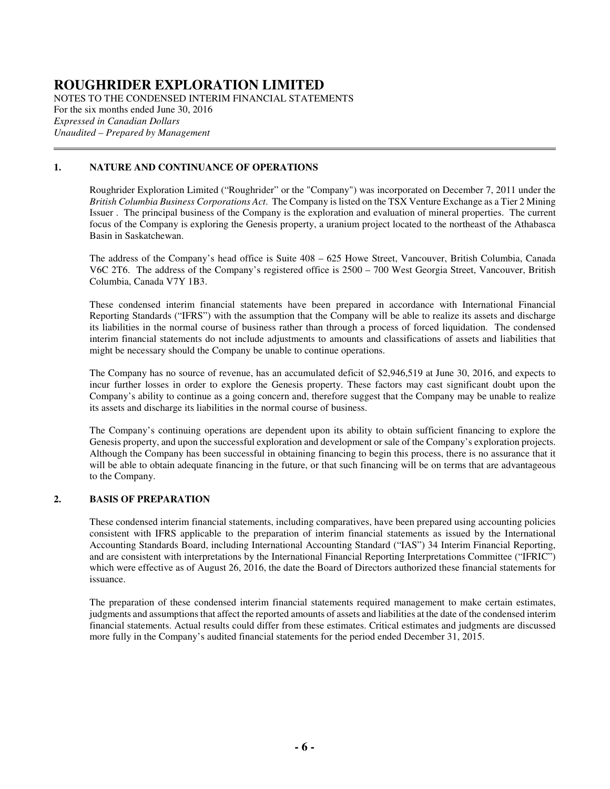NOTES TO THE CONDENSED INTERIM FINANCIAL STATEMENTS For the six months ended June 30, 2016 *Expressed in Canadian Dollars Unaudited – Prepared by Management*   $\overline{a}$ 

### **1. NATURE AND CONTINUANCE OF OPERATIONS**

Roughrider Exploration Limited ("Roughrider" or the "Company") was incorporated on December 7, 2011 under the *British Columbia Business Corporations Act*. The Company is listed on the TSX Venture Exchange as a Tier 2 Mining Issuer . The principal business of the Company is the exploration and evaluation of mineral properties. The current focus of the Company is exploring the Genesis property, a uranium project located to the northeast of the Athabasca Basin in Saskatchewan.

The address of the Company's head office is Suite 408 – 625 Howe Street, Vancouver, British Columbia, Canada V6C 2T6. The address of the Company's registered office is 2500 – 700 West Georgia Street, Vancouver, British Columbia, Canada V7Y 1B3.

 These condensed interim financial statements have been prepared in accordance with International Financial Reporting Standards ("IFRS") with the assumption that the Company will be able to realize its assets and discharge its liabilities in the normal course of business rather than through a process of forced liquidation. The condensed interim financial statements do not include adjustments to amounts and classifications of assets and liabilities that might be necessary should the Company be unable to continue operations.

 The Company has no source of revenue, has an accumulated deficit of \$2,946,519 at June 30, 2016, and expects to incur further losses in order to explore the Genesis property. These factors may cast significant doubt upon the Company's ability to continue as a going concern and, therefore suggest that the Company may be unable to realize its assets and discharge its liabilities in the normal course of business.

 The Company's continuing operations are dependent upon its ability to obtain sufficient financing to explore the Genesis property, and upon the successful exploration and development or sale of the Company's exploration projects. Although the Company has been successful in obtaining financing to begin this process, there is no assurance that it will be able to obtain adequate financing in the future, or that such financing will be on terms that are advantageous to the Company.

#### **2. BASIS OF PREPARATION**

These condensed interim financial statements, including comparatives, have been prepared using accounting policies consistent with IFRS applicable to the preparation of interim financial statements as issued by the International Accounting Standards Board, including International Accounting Standard ("IAS") 34 Interim Financial Reporting, and are consistent with interpretations by the International Financial Reporting Interpretations Committee ("IFRIC") which were effective as of August 26, 2016, the date the Board of Directors authorized these financial statements for issuance.

The preparation of these condensed interim financial statements required management to make certain estimates, judgments and assumptions that affect the reported amounts of assets and liabilities at the date of the condensed interim financial statements. Actual results could differ from these estimates. Critical estimates and judgments are discussed more fully in the Company's audited financial statements for the period ended December 31, 2015.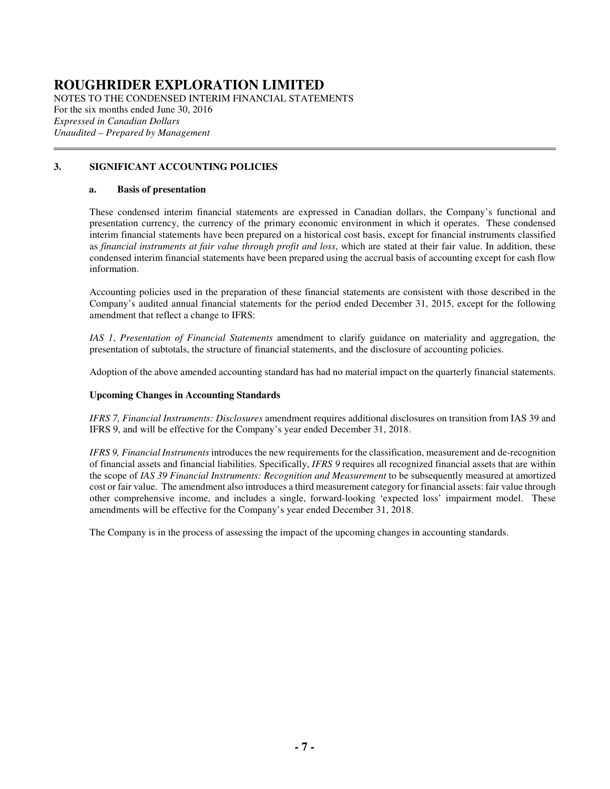NOTES TO THE CONDENSED INTERIM FINANCIAL STATEMENTS For the six months ended June 30, 2016 *Expressed in Canadian Dollars Unaudited – Prepared by Management*   $\overline{a}$ 

### **3. SIGNIFICANT ACCOUNTING POLICIES**

#### **a. Basis of presentation**

These condensed interim financial statements are expressed in Canadian dollars, the Company's functional and presentation currency, the currency of the primary economic environment in which it operates. These condensed interim financial statements have been prepared on a historical cost basis, except for financial instruments classified as *financial instruments at fair value through profit and loss*, which are stated at their fair value. In addition, these condensed interim financial statements have been prepared using the accrual basis of accounting except for cash flow information.

Accounting policies used in the preparation of these financial statements are consistent with those described in the Company's audited annual financial statements for the period ended December 31, 2015, except for the following amendment that reflect a change to IFRS:

*IAS 1*, *Presentation of Financial Statements* amendment to clarify guidance on materiality and aggregation, the presentation of subtotals, the structure of financial statements, and the disclosure of accounting policies.

Adoption of the above amended accounting standard has had no material impact on the quarterly financial statements.

#### **Upcoming Changes in Accounting Standards**

 *IFRS 7, Financial Instruments: Disclosures* amendment requires additional disclosures on transition from IAS 39 and IFRS 9, and will be effective for the Company's year ended December 31, 2018.

*IFRS 9, Financial Instruments* introduces the new requirements for the classification, measurement and de-recognition of financial assets and financial liabilities. Specifically, *IFRS 9* requires all recognized financial assets that are within the scope of *IAS 39 Financial Instruments: Recognition and Measurement* to be subsequently measured at amortized cost or fair value. The amendment also introduces a third measurement category for financial assets: fair value through other comprehensive income, and includes a single, forward-looking 'expected loss' impairment model. These amendments will be effective for the Company's year ended December 31, 2018.

The Company is in the process of assessing the impact of the upcoming changes in accounting standards.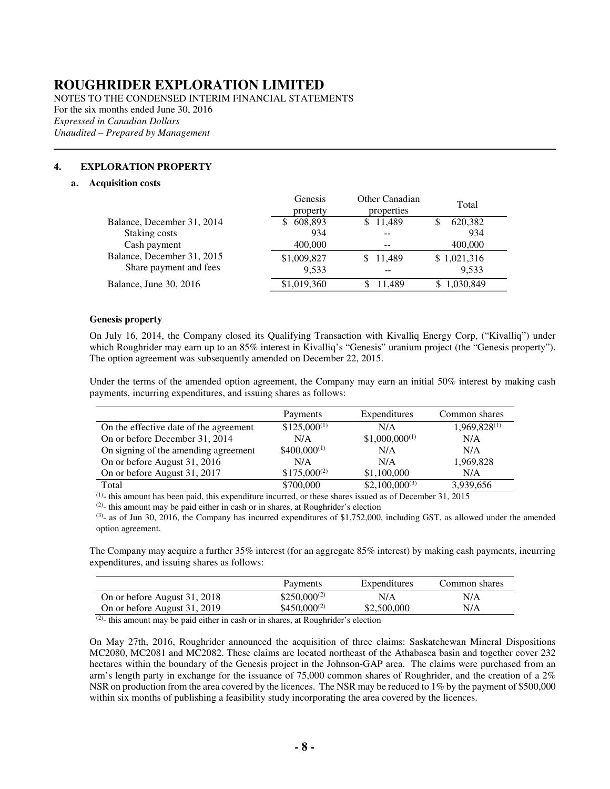NOTES TO THE CONDENSED INTERIM FINANCIAL STATEMENTS For the six months ended June 30, 2016 *Expressed in Canadian Dollars Unaudited – Prepared by Management* 

#### **4. EXPLORATION PROPERTY**

#### **a. Acquisition costs**

 $\overline{a}$ 

|                            | Genesis<br>property | Other Canadian<br>properties | Total        |
|----------------------------|---------------------|------------------------------|--------------|
| Balance, December 31, 2014 | 608,893             | \$11,489                     | 620,382<br>S |
| Staking costs              | 934                 |                              | 934          |
| Cash payment               | 400,000             |                              | 400,000      |
| Balance, December 31, 2015 | \$1,009,827         | \$11,489                     | \$1,021,316  |
| Share payment and fees     | 9.533               |                              | 9,533        |
| Balance, June 30, 2016     | \$1,019,360         | 11.489                       | 1,030,849    |
|                            |                     |                              |              |

#### **Genesis property**

On July 16, 2014, the Company closed its Qualifying Transaction with Kivalliq Energy Corp, ("Kivalliq") under which Roughrider may earn up to an 85% interest in Kivalliq's "Genesis" uranium project (the "Genesis property"). The option agreement was subsequently amended on December 22, 2015.

Under the terms of the amended option agreement, the Company may earn an initial 50% interest by making cash payments, incurring expenditures, and issuing shares as follows:

|                                        | Payments         | Expenditures       | Common shares     |
|----------------------------------------|------------------|--------------------|-------------------|
| On the effective date of the agreement | $$125,000^{(1)}$ | N/A                | $1,969,828^{(1)}$ |
| On or before December 31, 2014         | N/A              | $$1,000,000^{(1)}$ | N/A               |
| On signing of the amending agreement   | $$400,000^{(1)}$ | N/A                | N/A               |
| On or before August 31, 2016           | N/A              | N/A                | 1,969,828         |
| On or before August 31, 2017           | $$175,000^{(2)}$ | \$1,100,000        | N/A               |
| Total                                  | \$700,000        | $$2,100,000^{(3)}$ | 3,939,656         |

 $(1)$ - this amount has been paid, this expenditure incurred, or these shares issued as of December 31, 2015

 $(2)$ - this amount may be paid either in cash or in shares, at Roughrider's election

 $(3)$ - as of Jun 30, 2016, the Company has incurred expenditures of \$1,752,000, including GST, as allowed under the amended option agreement.

The Company may acquire a further 35% interest (for an aggregate 85% interest) by making cash payments, incurring expenditures, and issuing shares as follows:

|                              | Payments          | Expenditures | Common shares |
|------------------------------|-------------------|--------------|---------------|
| On or before August 31, 2018 | $$250,000^{(2)}$  | N/A          | N/A           |
| On or before August 31, 2019 | $$450,000^{(2)}$$ | \$2,500,000  | N/A           |
| $(2)$ $\cdots$               |                   |              |               |

 $(2)$ - this amount may be paid either in cash or in shares, at Roughrider's election

On May 27th, 2016, Roughrider announced the acquisition of three claims: Saskatchewan Mineral Dispositions MC2080, MC2081 and MC2082. These claims are located northeast of the Athabasca basin and together cover 232 hectares within the boundary of the Genesis project in the Johnson-GAP area. The claims were purchased from an arm's length party in exchange for the issuance of 75,000 common shares of Roughrider, and the creation of a 2% NSR on production from the area covered by the licences. The NSR may be reduced to 1% by the payment of \$500,000 within six months of publishing a feasibility study incorporating the area covered by the licences.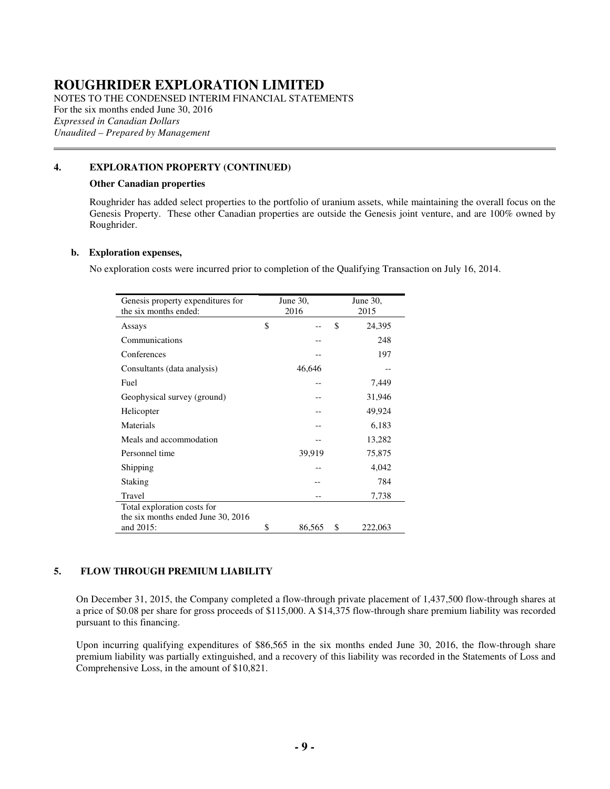NOTES TO THE CONDENSED INTERIM FINANCIAL STATEMENTS For the six months ended June 30, 2016 *Expressed in Canadian Dollars Unaudited – Prepared by Management*   $\overline{a}$ 

### **4. EXPLORATION PROPERTY (CONTINUED)**

#### **Other Canadian properties**

Roughrider has added select properties to the portfolio of uranium assets, while maintaining the overall focus on the Genesis Property. These other Canadian properties are outside the Genesis joint venture, and are 100% owned by Roughrider.

#### **b. Exploration expenses,**

No exploration costs were incurred prior to completion of the Qualifying Transaction on July 16, 2014.

| Genesis property expenditures for  | June 30,     | June 30,      |
|------------------------------------|--------------|---------------|
| the six months ended:              | 2016         | 2015          |
| Assays                             | \$           | \$<br>24,395  |
| Communications                     |              | 248           |
| Conferences                        |              | 197           |
| Consultants (data analysis)        | 46,646       |               |
| Fuel                               |              | 7,449         |
| Geophysical survey (ground)        |              | 31,946        |
| Helicopter                         |              | 49,924        |
| Materials                          |              | 6,183         |
| Meals and accommodation            |              | 13,282        |
| Personnel time                     | 39,919       | 75,875        |
| Shipping                           |              | 4,042         |
| Staking                            |              | 784           |
| Travel                             |              | 7,738         |
| Total exploration costs for        |              |               |
| the six months ended June 30, 2016 |              |               |
| and 2015:                          | \$<br>86,565 | \$<br>222,063 |

#### **5. FLOW THROUGH PREMIUM LIABILITY**

On December 31, 2015, the Company completed a flow-through private placement of 1,437,500 flow-through shares at a price of \$0.08 per share for gross proceeds of \$115,000. A \$14,375 flow-through share premium liability was recorded pursuant to this financing.

Upon incurring qualifying expenditures of \$86,565 in the six months ended June 30, 2016, the flow-through share premium liability was partially extinguished, and a recovery of this liability was recorded in the Statements of Loss and Comprehensive Loss, in the amount of \$10,821.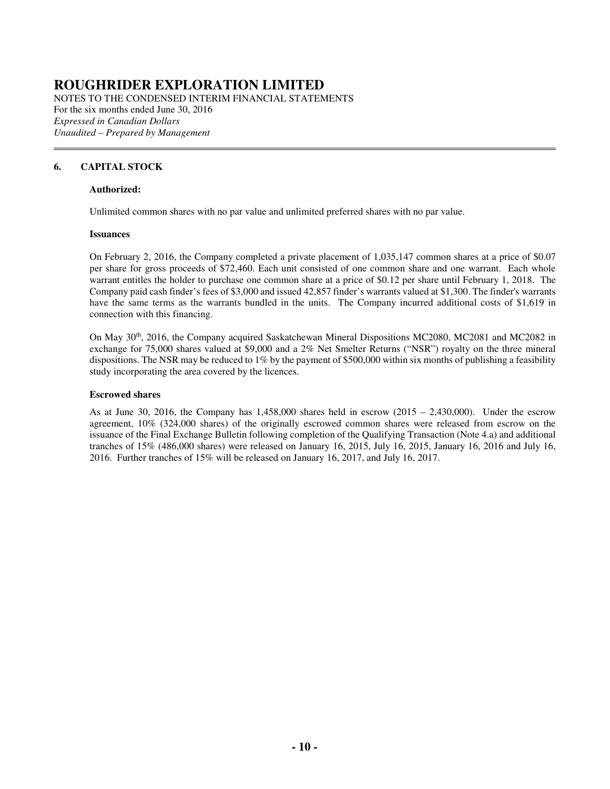NOTES TO THE CONDENSED INTERIM FINANCIAL STATEMENTS For the six months ended June 30, 2016 *Expressed in Canadian Dollars Unaudited – Prepared by Management*   $\overline{a}$ 

### **6. CAPITAL STOCK**

#### **Authorized:**

Unlimited common shares with no par value and unlimited preferred shares with no par value.

#### **Issuances**

 On February 2, 2016, the Company completed a private placement of 1,035,147 common shares at a price of \$0.07 per share for gross proceeds of \$72,460. Each unit consisted of one common share and one warrant. Each whole warrant entitles the holder to purchase one common share at a price of \$0.12 per share until February 1, 2018. The Company paid cash finder's fees of \$3,000 and issued 42,857 finder's warrants valued at \$1,300. The finder's warrants have the same terms as the warrants bundled in the units. The Company incurred additional costs of \$1,619 in connection with this financing.

On May 30<sup>th</sup>, 2016, the Company acquired Saskatchewan Mineral Dispositions MC2080, MC2081 and MC2082 in exchange for 75,000 shares valued at \$9,000 and a 2% Net Smelter Returns ("NSR") royalty on the three mineral dispositions. The NSR may be reduced to 1% by the payment of \$500,000 within six months of publishing a feasibility study incorporating the area covered by the licences.

#### **Escrowed shares**

As at June 30, 2016, the Company has  $1,458,000$  shares held in escrow  $(2015 - 2,430,000)$ . Under the escrow agreement, 10% (324,000 shares) of the originally escrowed common shares were released from escrow on the issuance of the Final Exchange Bulletin following completion of the Qualifying Transaction (Note 4.a) and additional tranches of 15% (486,000 shares) were released on January 16, 2015, July 16, 2015, January 16, 2016 and July 16, 2016. Further tranches of 15% will be released on January 16, 2017, and July 16, 2017.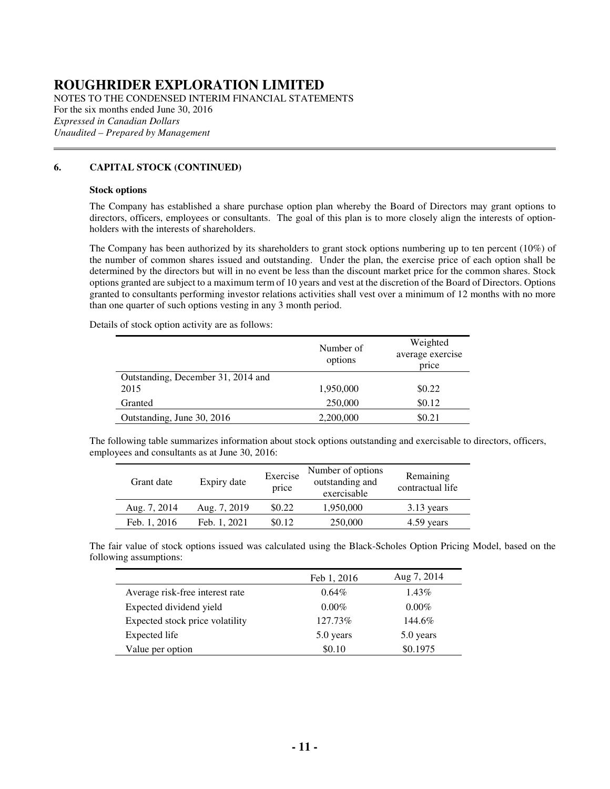NOTES TO THE CONDENSED INTERIM FINANCIAL STATEMENTS For the six months ended June 30, 2016 *Expressed in Canadian Dollars Unaudited – Prepared by Management*   $\overline{a}$ 

#### **6. CAPITAL STOCK (CONTINUED)**

#### **Stock options**

The Company has established a share purchase option plan whereby the Board of Directors may grant options to directors, officers, employees or consultants. The goal of this plan is to more closely align the interests of optionholders with the interests of shareholders.

The Company has been authorized by its shareholders to grant stock options numbering up to ten percent (10%) of the number of common shares issued and outstanding. Under the plan, the exercise price of each option shall be determined by the directors but will in no event be less than the discount market price for the common shares. Stock options granted are subject to a maximum term of 10 years and vest at the discretion of the Board of Directors. Options granted to consultants performing investor relations activities shall vest over a minimum of 12 months with no more than one quarter of such options vesting in any 3 month period.

Details of stock option activity are as follows:

|                                    | Number of<br>options | Weighted<br>average exercise |
|------------------------------------|----------------------|------------------------------|
| Outstanding, December 31, 2014 and |                      | price                        |
| 2015                               | 1,950,000            | \$0.22                       |
| Granted                            | 250,000              | \$0.12                       |
| Outstanding, June 30, 2016         | 2,200,000            | \$0.21                       |

The following table summarizes information about stock options outstanding and exercisable to directors, officers, employees and consultants as at June 30, 2016:

| Grant date   | Expiry date  | Exercise<br>price | Number of options<br>outstanding and<br>exercisable | Remaining<br>contractual life |
|--------------|--------------|-------------------|-----------------------------------------------------|-------------------------------|
| Aug. 7, 2014 | Aug. 7, 2019 | \$0.22            | 1,950,000                                           | $3.13$ years                  |
| Feb. 1, 2016 | Feb. 1, 2021 | \$0.12            | 250,000                                             | 4.59 years                    |

The fair value of stock options issued was calculated using the Black-Scholes Option Pricing Model, based on the following assumptions:

|                                 | Feb 1, 2016 | Aug 7, 2014 |
|---------------------------------|-------------|-------------|
| Average risk-free interest rate | $0.64\%$    | 1.43%       |
| Expected dividend yield         | $0.00\%$    | $0.00\%$    |
| Expected stock price volatility | 127.73%     | 144.6%      |
| Expected life                   | 5.0 years   | 5.0 years   |
| Value per option                | \$0.10      | \$0.1975    |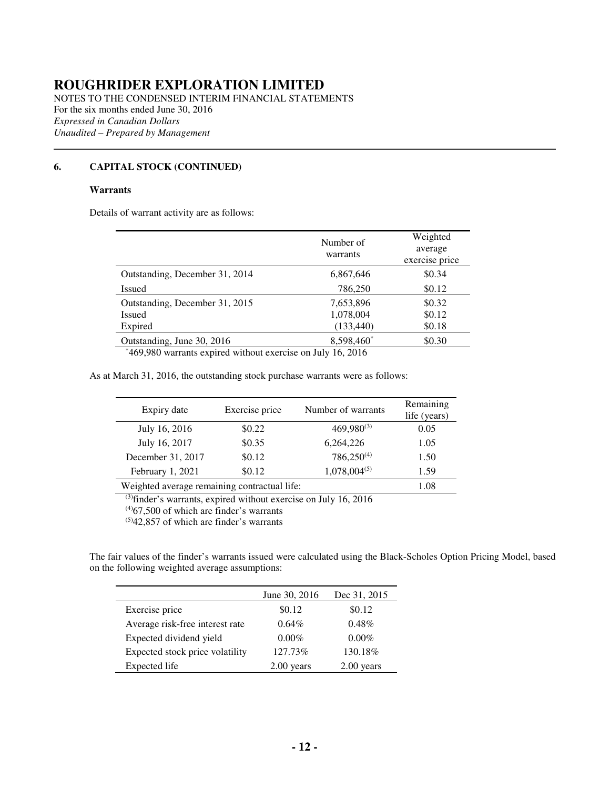NOTES TO THE CONDENSED INTERIM FINANCIAL STATEMENTS For the six months ended June 30, 2016 *Expressed in Canadian Dollars Unaudited – Prepared by Management*   $\overline{a}$ 

### **6. CAPITAL STOCK (CONTINUED)**

#### **Warrants**

Details of warrant activity are as follows:

|                                | Number of<br>warrants | Weighted<br>average<br>exercise price |
|--------------------------------|-----------------------|---------------------------------------|
| Outstanding, December 31, 2014 | 6,867,646             | \$0.34                                |
| Issued                         | 786,250               | \$0.12                                |
| Outstanding, December 31, 2015 | 7,653,896             | \$0.32                                |
| Issued                         | 1,078,004             | \$0.12                                |
| Expired                        | (133, 440)            | \$0.18                                |
| Outstanding, June 30, 2016     | 8,598,460*            | \$0.30                                |

\*469,980 warrants expired without exercise on July 16, 2016

As at March 31, 2016, the outstanding stock purchase warrants were as follows:

| Expiry date                                  | Exercise price | Number of warrants | Remaining<br>life (years) |
|----------------------------------------------|----------------|--------------------|---------------------------|
| July 16, 2016                                | \$0.22         | $469,980^{(3)}$    | 0.05                      |
| July 16, 2017                                | \$0.35         | 6,264,226          | 1.05                      |
| December 31, 2017                            | \$0.12         | $786,250^{(4)}$    | 1.50                      |
| February 1, 2021                             | \$0.12         | $1,078,004^{(5)}$  | 1.59                      |
| Weighted average remaining contractual life: | 1.08           |                    |                           |

(3)finder's warrants, expired without exercise on July 16, 2016

 $(4)67,500$  of which are finder's warrants

 $(5)42,857$  of which are finder's warrants

The fair values of the finder's warrants issued were calculated using the Black-Scholes Option Pricing Model, based on the following weighted average assumptions:

|                                 | June 30, 2016 | Dec 31, 2015 |
|---------------------------------|---------------|--------------|
| Exercise price                  | \$0.12        | \$0.12       |
| Average risk-free interest rate | $0.64\%$      | $0.48\%$     |
| Expected dividend yield         | $0.00\%$      | $0.00\%$     |
| Expected stock price volatility | 127.73%       | 130.18%      |
| Expected life                   | $2.00$ years  | $2.00$ years |